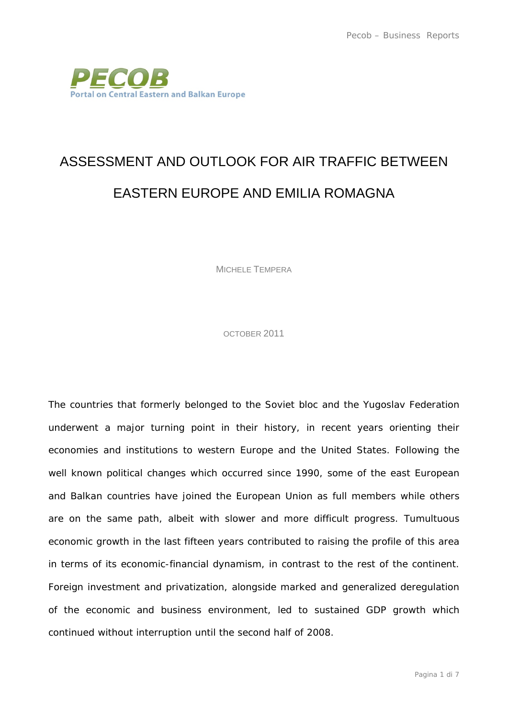

## ASSESSMENT AND OUTLOOK FOR AIR TRAFFIC BETWEEN EASTERN EUROPE AND EMILIA ROMAGNA

MICHELE TEMPERA

OCTOBER 2011

The countries that formerly belonged to the Soviet bloc and the Yugoslav Federation underwent a major turning point in their history, in recent years orienting their economies and institutions to western Europe and the United States. Following the well known political changes which occurred since 1990, some of the east European and Balkan countries have joined the European Union as full members while others are on the same path, albeit with slower and more difficult progress. Tumultuous economic growth in the last fifteen years contributed to raising the profile of this area in terms of its economic-financial dynamism, in contrast to the rest of the continent. Foreign investment and privatization, alongside marked and generalized deregulation of the economic and business environment, led to sustained GDP growth which continued without interruption until the second half of 2008.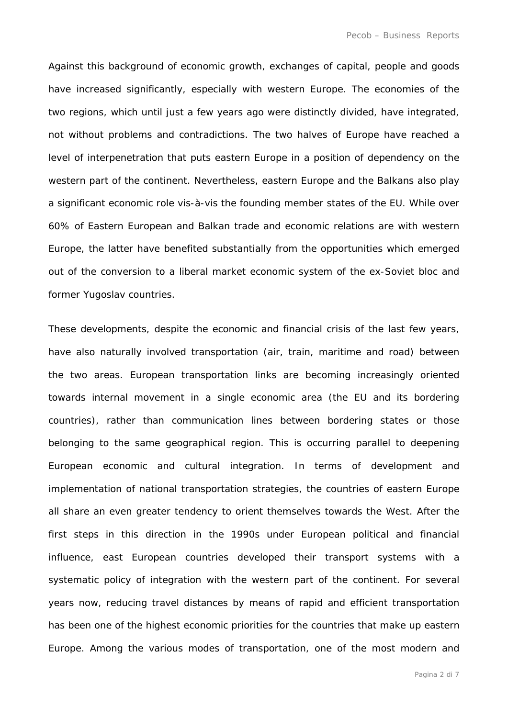Against this background of economic growth, exchanges of capital, people and goods have increased significantly, especially with western Europe. The economies of the two regions, which until just a few years ago were distinctly divided, have integrated, not without problems and contradictions. The two halves of Europe have reached a level of interpenetration that puts eastern Europe in a position of dependency on the western part of the continent. Nevertheless, eastern Europe and the Balkans also play a significant economic role vis-à-vis the founding member states of the EU. While over 60% of Eastern European and Balkan trade and economic relations are with western Europe, the latter have benefited substantially from the opportunities which emerged out of the conversion to a liberal market economic system of the ex-Soviet bloc and former Yugoslav countries.

These developments, despite the economic and financial crisis of the last few years, have also naturally involved transportation (air, train, maritime and road) between the two areas. European transportation links are becoming increasingly oriented towards internal movement in a single economic area (the EU and its bordering countries), rather than communication lines between bordering states or those belonging to the same geographical region. This is occurring parallel to deepening European economic and cultural integration. In terms of development and implementation of national transportation strategies, the countries of eastern Europe all share an even greater tendency to orient themselves towards the West. After the first steps in this direction in the 1990s under European political and financial influence, east European countries developed their transport systems with a systematic policy of integration with the western part of the continent. For several years now, reducing travel distances by means of rapid and efficient transportation has been one of the highest economic priorities for the countries that make up eastern Europe. Among the various modes of transportation, one of the most modern and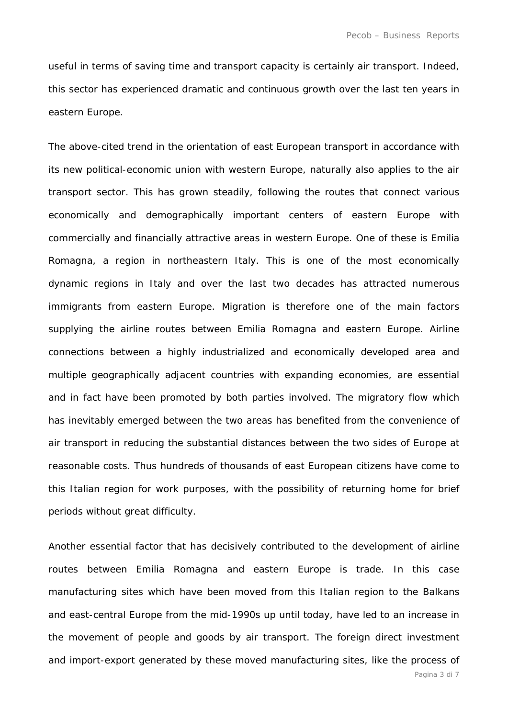useful in terms of saving time and transport capacity is certainly air transport. Indeed, this sector has experienced dramatic and continuous growth over the last ten years in eastern Europe.

The above-cited trend in the orientation of east European transport in accordance with its new political-economic union with western Europe, naturally also applies to the air transport sector. This has grown steadily, following the routes that connect various economically and demographically important centers of eastern Europe with commercially and financially attractive areas in western Europe. One of these is Emilia Romagna, a region in northeastern Italy. This is one of the most economically dynamic regions in Italy and over the last two decades has attracted numerous immigrants from eastern Europe. Migration is therefore one of the main factors supplying the airline routes between Emilia Romagna and eastern Europe. Airline connections between a highly industrialized and economically developed area and multiple geographically adjacent countries with expanding economies, are essential and in fact have been promoted by both parties involved. The migratory flow which has inevitably emerged between the two areas has benefited from the convenience of air transport in reducing the substantial distances between the two sides of Europe at reasonable costs. Thus hundreds of thousands of east European citizens have come to this Italian region for work purposes, with the possibility of returning home for brief periods without great difficulty.

Another essential factor that has decisively contributed to the development of airline routes between Emilia Romagna and eastern Europe is trade. In this case manufacturing sites which have been moved from this Italian region to the Balkans and east-central Europe from the mid-1990s up until today, have led to an increase in the movement of people and goods by air transport. The foreign direct investment and import-export generated by these moved manufacturing sites, like the process of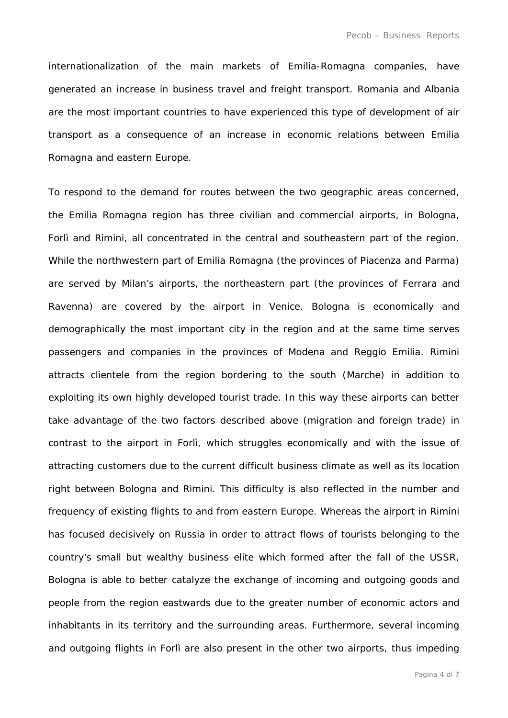internationalization of the main markets of Emilia-Romagna companies, have generated an increase in business travel and freight transport. Romania and Albania are the most important countries to have experienced this type of development of air transport as a consequence of an increase in economic relations between Emilia Romagna and eastern Europe.

To respond to the demand for routes between the two geographic areas concerned, the Emilia Romagna region has three civilian and commercial airports, in Bologna, Forlì and Rimini, all concentrated in the central and southeastern part of the region. While the northwestern part of Emilia Romagna (the provinces of Piacenza and Parma) are served by Milan's airports, the northeastern part (the provinces of Ferrara and Ravenna) are covered by the airport in Venice. Bologna is economically and demographically the most important city in the region and at the same time serves passengers and companies in the provinces of Modena and Reggio Emilia. Rimini attracts clientele from the region bordering to the south (Marche) in addition to exploiting its own highly developed tourist trade. In this way these airports can better take advantage of the two factors described above (migration and foreign trade) in contrast to the airport in Forlì, which struggles economically and with the issue of attracting customers due to the current difficult business climate as well as its location right between Bologna and Rimini. This difficulty is also reflected in the number and frequency of existing flights to and from eastern Europe. Whereas the airport in Rimini has focused decisively on Russia in order to attract flows of tourists belonging to the country's small but wealthy business elite which formed after the fall of the USSR, Bologna is able to better catalyze the exchange of incoming and outgoing goods and people from the region eastwards due to the greater number of economic actors and inhabitants in its territory and the surrounding areas. Furthermore, several incoming and outgoing flights in Forlì are also present in the other two airports, thus impeding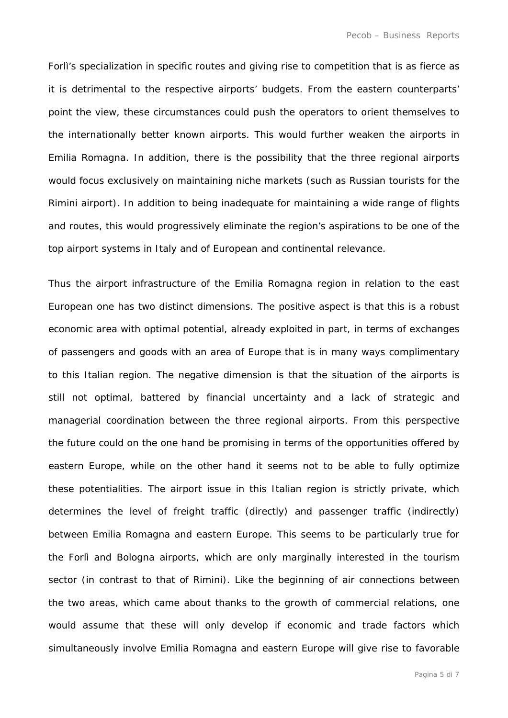Forlì's specialization in specific routes and giving rise to competition that is as fierce as it is detrimental to the respective airports' budgets. From the eastern counterparts' point the view, these circumstances could push the operators to orient themselves to the internationally better known airports. This would further weaken the airports in Emilia Romagna. In addition, there is the possibility that the three regional airports would focus exclusively on maintaining niche markets (such as Russian tourists for the Rimini airport). In addition to being inadequate for maintaining a wide range of flights and routes, this would progressively eliminate the region's aspirations to be one of the top airport systems in Italy and of European and continental relevance.

Thus the airport infrastructure of the Emilia Romagna region in relation to the east European one has two distinct dimensions. The positive aspect is that this is a robust economic area with optimal potential, already exploited in part, in terms of exchanges of passengers and goods with an area of Europe that is in many ways complimentary to this Italian region. The negative dimension is that the situation of the airports is still not optimal, battered by financial uncertainty and a lack of strategic and managerial coordination between the three regional airports. From this perspective the future could on the one hand be promising in terms of the opportunities offered by eastern Europe, while on the other hand it seems not to be able to fully optimize these potentialities. The airport issue in this Italian region is strictly private, which determines the level of freight traffic (directly) and passenger traffic (indirectly) between Emilia Romagna and eastern Europe. This seems to be particularly true for the Forlì and Bologna airports, which are only marginally interested in the tourism sector (in contrast to that of Rimini). Like the beginning of air connections between the two areas, which came about thanks to the growth of commercial relations, one would assume that these will only develop if economic and trade factors which simultaneously involve Emilia Romagna and eastern Europe will give rise to favorable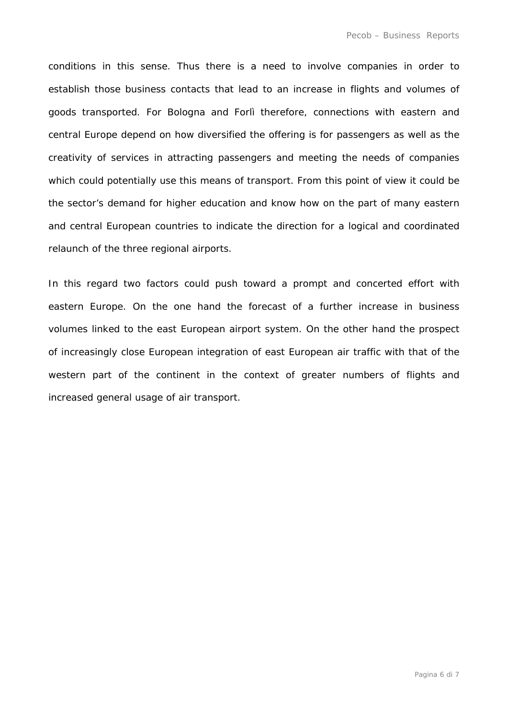conditions in this sense. Thus there is a need to involve companies in order to establish those business contacts that lead to an increase in flights and volumes of goods transported. For Bologna and Forlì therefore, connections with eastern and central Europe depend on how diversified the offering is for passengers as well as the creativity of services in attracting passengers and meeting the needs of companies which could potentially use this means of transport. From this point of view it could be the sector's demand for higher education and know how on the part of many eastern and central European countries to indicate the direction for a logical and coordinated relaunch of the three regional airports.

In this regard two factors could push toward a prompt and concerted effort with eastern Europe. On the one hand the forecast of a further increase in business volumes linked to the east European airport system. On the other hand the prospect of increasingly close European integration of east European air traffic with that of the western part of the continent in the context of greater numbers of flights and increased general usage of air transport.